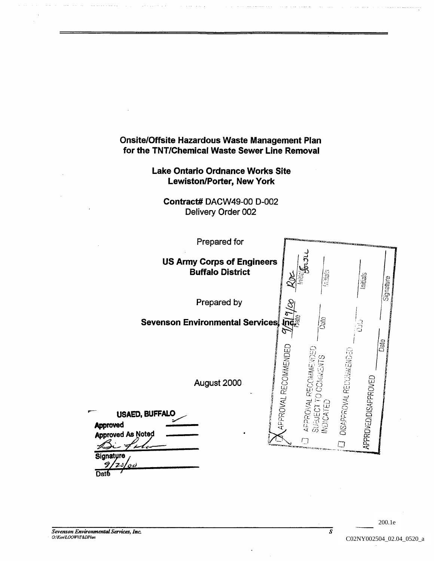# Onsite/Offsite Hazardous Waste Management Plan for the TNT/Chemical Waste Sewer Line Removal

## Lake Ontario Ordnance Works Site Lewiston/Porter, New York

Contract# DACW49-00 D-002 Delivery Order 002



**Date** 

3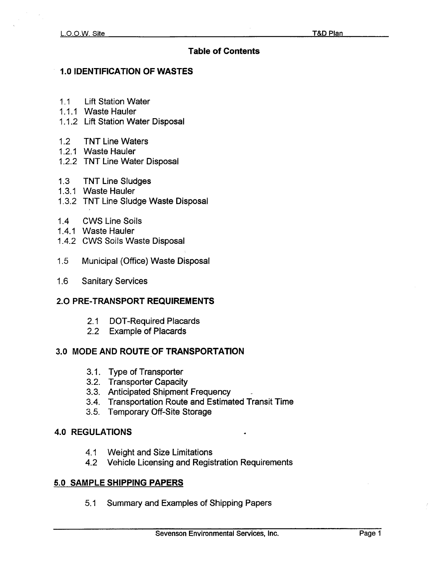## Table of Contents

## 1.0 IDENTIFICATION OF WASTES

- .1 Lift Station Water
- 1.1.1 Waste Hauler
- 1.1.2 Lift Station Water Disposal
- 1.2 TNT Line Waters
- 1.2.1 Waste Hauler
- 1.2.2 TNT Line Water Disposal
- 1.3 TNT Line Sludges
- 1.3.1 Waste Hauler
- 1.3.2 TNT Line Sludge Waste Disposal
- 1.4 CWS Line Soils
- 1.4.1 Waste Hauler
- 1.4.2 CWS Soils Waste Disposal
- 1.5 Municipal (Office) Waste Disposal
- 1.6 Sanitary Services

## 2.0 PRE-TRANSPORT REQUIREMENTS

- 2.1 DOT-Required Placards
- 2.2 Example of Placards

## 3.0 MODE AND ROUTE OF TRANSPORTATION

- 3.1 Type of Transporter
- 3.2 Transporter Capacity
- 3.3 Anticipated Shipment Frequency
- 3.4 Transportation Route and Estimated Transit Time
- 3.5 Temporary Off-Site Storage

## 4.0 REGULATIONS

- 4.1 Weight and Size Limitations
- 4.2 Vehicle Licensing and Registration Requirements

## 5.0 SAMPLE SHIPPING PAPERS

5.1 Summary and Examples of Shipping Papers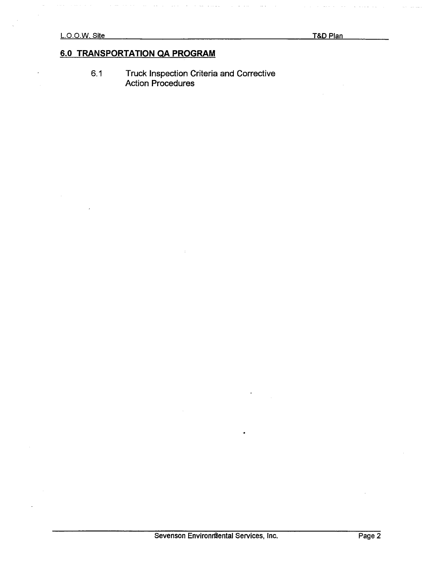$\bar{1}$ 

# 6.0 TRANSPORTATION QA PROGRAM

6.1 Truck Inspection Criteria and Corrective **Action Procedure**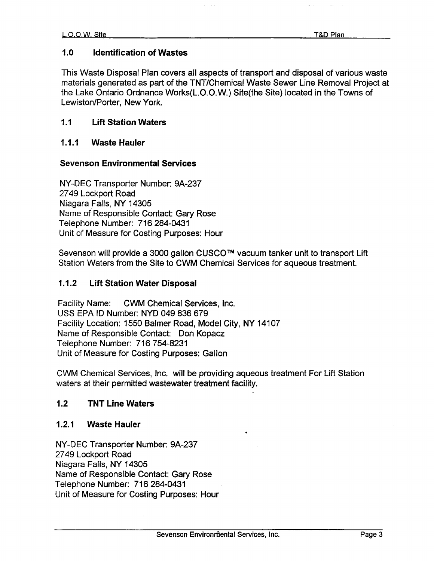### 1.0 Identification of Wastes

This Waste Disposal Plan covers all aspects of transport and disposal of various waste materials generated as part of the TNT/Chemical Waste Sewer Line Removal Project at the Lake Ontario Ordnance Works(L.O.O.W.) Site(the Site) located in the Towns of Lewiston/Porter, New York.

### 1.1 Lift Station Waters

### 1.1.1 Waste Hauler

#### Sevenson Environmental Services

NY-DEC Transporter Number: 9A-237 2749 Lockport Road Niagara Falls, NY 14305 Name of Responsible Contact: Gary Rose Telephone Number: 716 284-0431 Unit of Measure for Costing Purposes: Hour

Sevenson will provide a 3000 gallon CUSCO™ vacuum tanker unit to transport Lift Station Waters from the Site to CWM Chemical Services for aqueous treatment

#### 1.1.2 Lift Station Water Disposal

Facility Name: CWM Chemical Services, Inc. USS EPA ID Number: NYD 049 836 679 Facility Location: 1550 Balmer Road, Model City, NY 14107 Name of Responsible Contact: Don Kopacz Telephone Number: 716 754-8231 Unit of Measure for Costing Purposes: Gallon

CWM Chemical Services, Inc. will be providing aqueous treatment For Lift Station waters at their permitted wastewater treatment facility.

### 1.2 TNT Line Waters

#### 1.2.1 Waste Hauler

NY-DEC Transporter Number: 9A-237 2749 Lockport Road Niagara Falls, NY 14305 Name of Responsible Contact: Gary Rose Telephone Number: 716 284-0431 Unit of Measure for Costing Purposes: Hour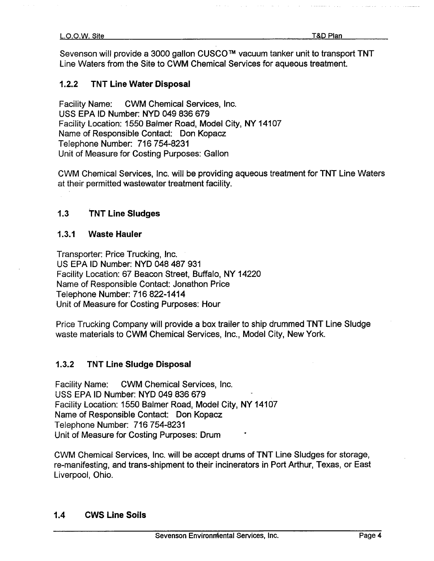Sevenson will provide a 3000 gallon CUSCO<sup>™</sup> vacuum tanker unit to transport TNT Line Waters from the Site to CWM Chemical Services for aqueous treatment

## 1.2.2 TNT Line Water Disposal

Facility Name: CWM Chemical Services, Inc. USS EPA ID Number: NYD 049 836 679 Facility Location: 1550 Balmer Road, Model City, NY 14107 Name of Responsible Contact: Don Kopacz Telephone Number: 716 754-8231 Unit of Measure for Costing Purposes: Gallon

CWM Chemical Services, Inc. will be providing aqueous treatment for TNT Line Waters at their permitted wastewater treatment facility

## 1.3 TNT Line Sludges

### 1.3.1 Waste Hauler

Transporter: Price Trucking, Inc. US EPA ID Number: NYD 048 487 931 Facility Location: 67 Beacon Street, Buffalo, NY 14220 Name of Responsible Contact: Jonathon Price Telephone Number: 716 822-1414 Unit of Measure for Costing Purposes: Hour

Price Trucking Company will provide a box trailer to ship drummed TNT Line Sludge waste materials to CWM Chemical Services, Inc., Model City, New York.

## 1.3.2 TNT Line Sludge Disposal

Facility Name: CWM Chemical Services, Inc. USS EPA ID Number: NYD 049 836 679 Facility Location: 1550 Balmer Road, Model City, NY 14107 Name of Responsible Contact: Don Kopacz Telephone Number: 716 754-8231 Unit of Measure for Costing Purposes: Drum

CWM Chemical Services, Inc. will be accept drums of TNT Line Sludges for storage, re-manifesting, and trans-shipment to their incinerators in Port Arthur, Texas, or East Liverpool, Ohio.

## 1.4 CWS Line Soils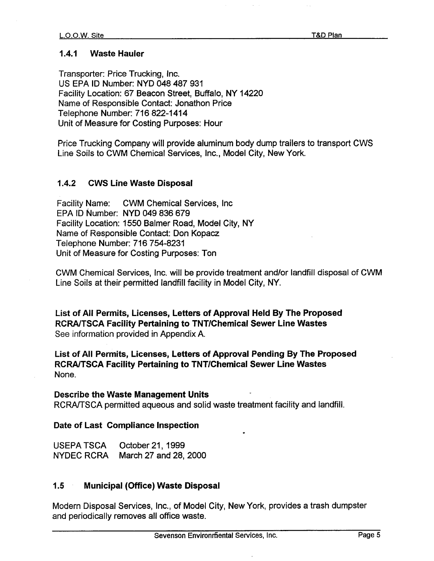### 1.4.1 Waste Hauler

Transporter: Price Trucking, Inc. US EPA ID Number: NYD 048 487 931 Facility Location: 67 Beacon Street, Buffalo, NY 14220 Name of Responsible Contact: Jonathon Price Telephone Number: 716 822-1414 Unit of Measure for Costing Purposes: Hour

Price Trucking Company will provide aluminum body dump trailers to transport CWS Line Soils to CWM Chemical Services, Inc., Model City, New York.

## 1.4.2 CWS Line Waste Disposal

Facility Name: CWM Chemical Services, Inc. EPA ID Number: NYD 049 836 679 Facility Location: 1550 Balmer Road, Model City, NY Name of Responsible Contact: Don Kopacz Telephone Number: 716 754-8231 Unit of Measure for Costing Purposes: Ton

CWM Chemical Services, Inc. will be provide treatment and/or landfill disposal of CWM Line Soils at their permitted landfill facility in Model City, NY.

List of All Permits, Licenses, Letters of Approval Held By The Proposed RCRA/TSCA Facility Pertaining to TNT/Chemical Sewer Line Wastes See information provided in Appendix A.

List of All Permits, Licenses, Letters of Approval Pending By The Proposed RCRA/TSCA Facility Pertaining to TNT/Chemical Sewer Line Wastes None

#### Describe the Waste Management Units

RCRA/TSCA permitted aqueous and solid waste treatment facility and landfill

#### Date of Last Compliance Inspection

| USEPA TSCA | October 21, 1999      |
|------------|-----------------------|
| NYDEC RCRA | March 27 and 28, 2000 |

#### 1.5 Municipal (Office) Waste Disposal

Modern Disposal Services, Inc., of Model City, New York, provides a trash dumpster and periodically removes all office waste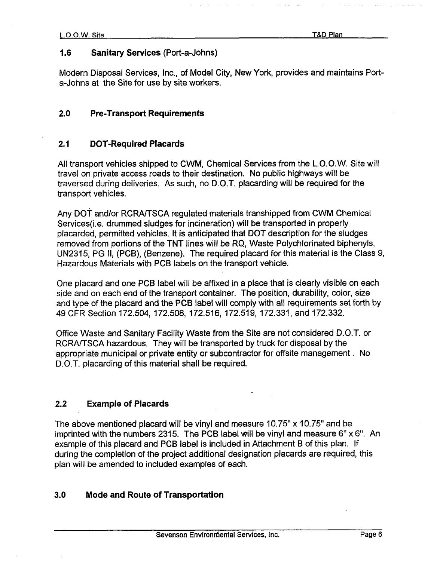## 1.6 Sanitary Services (Port-a-Johns)

Modern Disposal Services, Inc., of Model City, New York, provides and maintains Porta-Johns at the Site for use by site workers

## 2.0 Pre-Transport Requirements

# 2.1 DOT-Required Placards

All transport vehicles shipped to CWM, Chemical Services from the L.O.O.W. Site will travel on private access roads to their destination. No public highways will be traversed during deliveries. As such, no D.O.T. placarding will be required for the transport vehicles

Any Dot and/or RCRAITSCA regulated materials transhipped from CWM Chemical Services(i.e. drummed sludges for incineration) will be transported in properly placarded, permitted vehicles. It is anticipated that DOT description for the sludges removed from portions of the TNT lines will be RQ. Waste Polychlorinated biphenyls. UN2315, PG II, (PCB), (Benzene). The required placard for this material is the Class 9, Hazardous Materials with PCB labels on the transport vehicle

One placard and one PCB label will be affixed in a place that is clearly visible on each side and on each end of the transport container. The position, durability, color, size and type of the placard and the PCB label will comply with all requirements set forth by 49 CFR Section 172,504, 172,508, 172.516, 172.519, 172.331, and 172,332.

Office Waste and Sanitary Facility Waste from the Site are not considered D.O.T or RCRA/TSCA hazardous. They will be transported by truck for disposal by the appropriate municipal or private entity or subcontractor for offsite management. No D.O.T. placarding of this material shall be required.

## 2.2 Example of Placards

The above mentioned placard will be vinyl and measure 10.75"  $\times$  10.75" and be imprinted with the numbers 2315. The PCB label will be vinyl and measure  $6" \times 6"$ . An example of this placard and PCB label is included in Attachment B of this plan. If during the completion of the project additional designation placards are required, this plan will be amended to included examples of each

## 3.0 Mode and Route of Transportation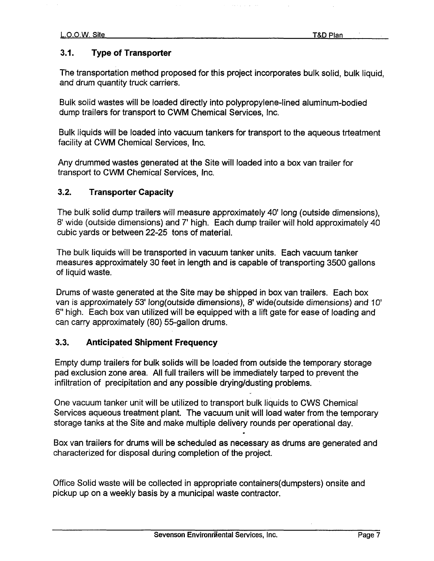# 3.1 Type of Transporter

The transportation method proposed for this project incorporates bulk solid, bulk liquid, and drum quantity truck carriers.

Bulk solid wastes will be loaded directly into polypropylene-lined aluminum-bodied dump trailers for transport to CWM Chemical Services, Inc.

Bulk liquids will be loaded into vacuum tankers for transport to the aqueous trteatment facility at CWM Chemical Services, Inc.

Any drummed wastes generated at the Site will loaded into a box van trailer for transport to CWM Chemical Services, Inc.

# 3.2 Transporter Capacity

The bulk solid dump trailers will measure approximately 40' long (outside dimensions). 8' wide (outside dimensions) and 7' high. Each dump trailer will hold approximately 40 cubic yards or between 22-25 tons of material

The bulk liquids will be transported in vacuum tanker units. Each vacuum tanker measures approximately 30 feet in length and is capable of transporting 3500 gallons of liquid waste

Drums of waste generated at the Site may be shipped in box van trailers. Each box van is approximately 53' long(outside dimensions), 8' wide(outside dimensions) and 10' 6" high. Each box van utilized will be equipped with a lift gate for ease of loading and can carry approximately (80) 55-gallon drums.

## 3.3 Anticipated Shipment Frequency

Empty dump trailers for bulk solids will be loaded from outside the temporary storage pad exclusion zone area. All full trailers will be immediately tarped to prevent the infiltration of precipitation and any possible drying/dusting problems

One vacuum tanker unit will be utilized to transport bulk liquids to CWS Chemical Services aqueous treatment plant. The vacuum unit will load water from the temporary storage tanks at the Site and make multiple delivery rounds per operational day

Box van trailers for drums will be scheduled as necessary as drums are generated and characterized for disposal during completion of the project

Office Solid waste will be collected in appropriate containers(dumpsters) onsite and pickup up on a weekly basis by a municipal waste contractor.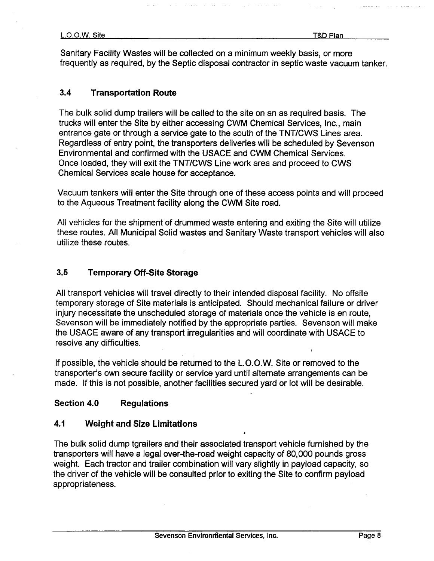Sanitary Facility Wastes will be collected on a minimum weekly basis, or more frequently as required, by the Septic disposal contractor in septic waste vacuum tanker.

## 3.4 Transportation Route

The bulk solid dump trailers will be called to the site on an as required basis. The trucks will enter the Site by either accessing CWM Chemical Services, Inc., main entrance gate or through a service gate to the south of the TNT/CWS Lines area. Regardless of entry point, the transporters deliveries will be scheduled by Sevenson Environmental and confirmed with the USACE and CWM Chemical Services Once loaded, they will exit the TNT/CWS Line work area and proceed to CWS Chemical Services scale house for acceptance

Vacuum tankers will enter the Site through one of these access points and will proceed to the Aqueous Treatment facility along the CWM Site road

All vehicles for the shipment of drummed waste entering and exiting the Site will utilize these routes. All Municipal Solid wastes and Sanitary Waste transport vehicles will also utilize these routes

## 3.5 Temporary Off-Site Storage

All transport vehicles will travel directly to their intended disposal facility. No offsite temporary storage of Site materials is anticipated. Should mechanical failure or driver injury necessitate the unscheduled storage of materials once the vehicle is en route Sevenson will be immediately notified by the appropriate parties. Sevenson will make the USACE aware of any transport irregularities and will coordinate with USACE to resolve any difficulties

If possible, the vehicle should be returned to the L.O.O.W. Site or removed to the transporter's own secure facility or service yard until alternate arrangements can be made. If this is not possible, another facilities secured yard or lot will be desirable.

## Section 4.0 Regulations

## 4.1 Weight and Size Limitations

The bulk solid dump tgrailers and their associated transport vehicle furnished by the transporters will have a legal over-the-road weight capacity of 80,000 pounds gross weight. Each tractor and trailer combination will vary slightly in payload capacity, so the driver of the vehicle will be consulted prior to exiting the Site to confirm payload appropriateness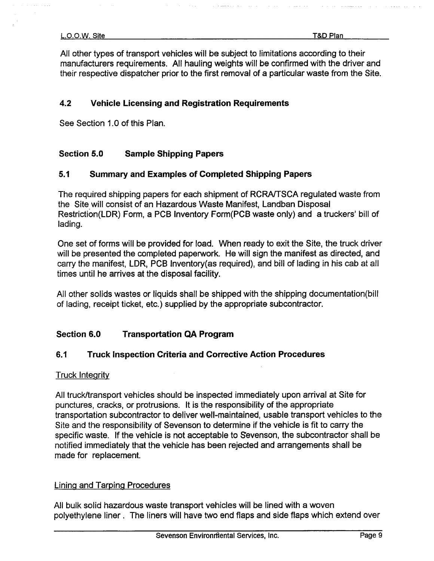All other types of transport vehicles will be subject to limitations according to their manufacturers requirements. All hauling weights will be confirmed with the driver and their respective dispatcher prior to the first removal of a particular waste from the Site.

# 4.2 Vehicle Licensing and Registration Requirements

See Section 1.0 of this Plan

# Section 5.0 Sample Shipping Papers

# 5.1 Summary and Examples of Completed Shipping Papers

The required shipping papers for each shipment of RCRA/TSCA regulated waste from the Site will consist of an Hazardous Waste Manifest, Landban Disposal Restriction(LDR) Form, a PCB Inventory Form(PCB waste only) and a truckers' bill of lading

One set of forms will be provided for load. When ready to exit the Site, the truck driver will be presented the completed paperwork. He will sign the manifest as directed, and carry the manifest, LDR, PCB Inventory(as required), and bill of lading in his cab at all times until he arrives at the disposal facility

All other solids wastes or liquids shall be shipped with the shipping documentation(bill of lading, receipt ticket, etc.) supplied by the appropriate subcontractor.

# Section 6.0 Transportation QA Program

## 6.1 Truck Inspection Criteria and Corrective Action Procedures

## Truck Integrity

All truck/transport vehicles should be inspected immediately upon arrival at Site for punctures, cracks, or protrusions. It is the responsibility of the appropriate transportation subcontractor to deliver well-maintained, usable transport vehicles to the Site and the responsibility of Sevenson to determine if the vehicle is fit to carry the specific waste. If the vehicle is not acceptable to Sevenson, the subcontractor shall be notified immediately that the vehicle has been rejected and arrangements shall be made for replacement

## **Lining and Tarping Procedures**

All bulk solid hazardous waste transport vehicles will be lined with a woven polyethylene liner. The liners will have two end flaps and side flaps which extend over